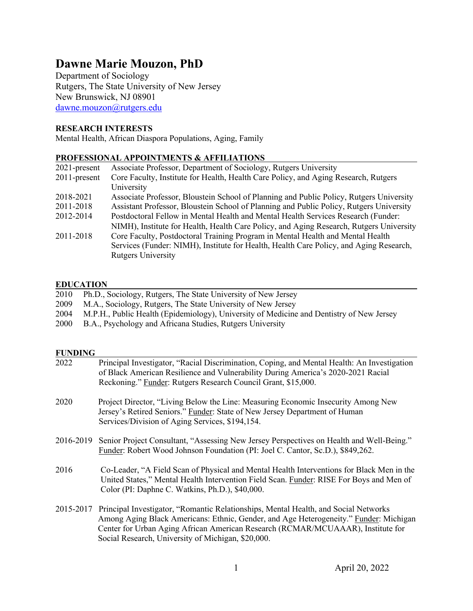# **Dawne Marie Mouzon, PhD**

Department of Sociology Rutgers, The State University of New Jersey New Brunswick, NJ 08901 dawne.mouzon@rutgers.edu

# **RESEARCH INTERESTS**

Mental Health, African Diaspora Populations, Aging, Family

# **PROFESSIONAL APPOINTMENTS & AFFILIATIONS**

| $2021$ -present | Associate Professor, Department of Sociology, Rutgers University                        |
|-----------------|-----------------------------------------------------------------------------------------|
| $2011$ -present | Core Faculty, Institute for Health, Health Care Policy, and Aging Research, Rutgers     |
|                 | University                                                                              |
| 2018-2021       | Associate Professor, Bloustein School of Planning and Public Policy, Rutgers University |
| 2011-2018       | Assistant Professor, Bloustein School of Planning and Public Policy, Rutgers University |
| 2012-2014       | Postdoctoral Fellow in Mental Health and Mental Health Services Research (Funder:       |
|                 | NIMH), Institute for Health, Health Care Policy, and Aging Research, Rutgers University |
| 2011-2018       | Core Faculty, Postdoctoral Training Program in Mental Health and Mental Health          |
|                 | Services (Funder: NIMH), Institute for Health, Health Care Policy, and Aging Research,  |
|                 | <b>Rutgers University</b>                                                               |

# **EDUCATION**

| 2010 Ph.D., Sociology, Rutgers, The State University of New Jersey                            |
|-----------------------------------------------------------------------------------------------|
| 2009 M.A., Sociology, Rutgers, The State University of New Jersey                             |
| 2004 M.P.H., Public Health (Epidemiology), University of Medicine and Dentistry of New Jersey |
| 2000 B.A., Psychology and Africana Studies, Rutgers University                                |
|                                                                                               |

#### **FUNDING**

| 2022      | Principal Investigator, "Racial Discrimination, Coping, and Mental Health: An Investigation<br>of Black American Resilience and Vulnerability During America's 2020-2021 Racial<br>Reckoning." Funder: Rutgers Research Council Grant, \$15,000.                                                                      |
|-----------|-----------------------------------------------------------------------------------------------------------------------------------------------------------------------------------------------------------------------------------------------------------------------------------------------------------------------|
| 2020      | Project Director, "Living Below the Line: Measuring Economic Insecurity Among New<br>Jersey's Retired Seniors." Funder: State of New Jersey Department of Human<br>Services/Division of Aging Services, \$194,154.                                                                                                    |
| 2016-2019 | Senior Project Consultant, "Assessing New Jersey Perspectives on Health and Well-Being."<br>Funder: Robert Wood Johnson Foundation (PI: Joel C. Cantor, Sc.D.), \$849,262.                                                                                                                                            |
| 2016      | Co-Leader, "A Field Scan of Physical and Mental Health Interventions for Black Men in the<br>United States," Mental Health Intervention Field Scan. Funder: RISE For Boys and Men of<br>Color (PI: Daphne C. Watkins, Ph.D.), \$40,000.                                                                               |
| 2015-2017 | Principal Investigator, "Romantic Relationships, Mental Health, and Social Networks<br>Among Aging Black Americans: Ethnic, Gender, and Age Heterogeneity." Funder: Michigan<br>Center for Urban Aging African American Research (RCMAR/MCUAAAR), Institute for<br>Social Research, University of Michigan, \$20,000. |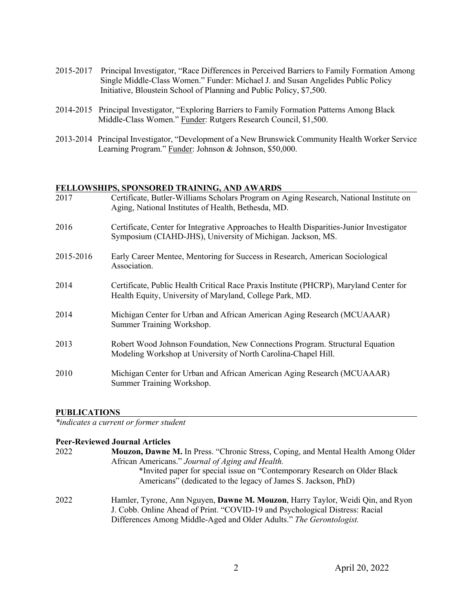- 2015-2017 Principal Investigator, "Race Differences in Perceived Barriers to Family Formation Among Single Middle-Class Women." Funder: Michael J. and Susan Angelides Public Policy Initiative, Bloustein School of Planning and Public Policy, \$7,500.
- 2014-2015 Principal Investigator, "Exploring Barriers to Family Formation Patterns Among Black Middle-Class Women." Funder: Rutgers Research Council, \$1,500.
- 2013-2014 Principal Investigator, "Development of a New Brunswick Community Health Worker Service Learning Program." Funder: Johnson & Johnson, \$50,000.

#### **FELLOWSHIPS, SPONSORED TRAINING, AND AWARDS**

| 2017      | Certificate, Butler-Williams Scholars Program on Aging Research, National Institute on<br>Aging, National Institutes of Health, Bethesda, MD.           |
|-----------|---------------------------------------------------------------------------------------------------------------------------------------------------------|
| 2016      | Certificate, Center for Integrative Approaches to Health Disparities-Junior Investigator<br>Symposium (CIAHD-JHS), University of Michigan. Jackson, MS. |
| 2015-2016 | Early Career Mentee, Mentoring for Success in Research, American Sociological<br>Association.                                                           |
| 2014      | Certificate, Public Health Critical Race Praxis Institute (PHCRP), Maryland Center for<br>Health Equity, University of Maryland, College Park, MD.      |
| 2014      | Michigan Center for Urban and African American Aging Research (MCUAAAR)<br>Summer Training Workshop.                                                    |
| 2013      | Robert Wood Johnson Foundation, New Connections Program. Structural Equation<br>Modeling Workshop at University of North Carolina-Chapel Hill.          |
| 2010      | Michigan Center for Urban and African American Aging Research (MCUAAAR)<br>Summer Training Workshop.                                                    |

#### **PUBLICATIONS**

*\*indicates a current or former student*

# **Peer-Reviewed Journal Articles**

| 2022 | Mouzon, Dawne M. In Press. "Chronic Stress, Coping, and Mental Health Among Older |
|------|-----------------------------------------------------------------------------------|
|      | African Americans." Journal of Aging and Health.                                  |
|      | *Invited paper for special issue on "Contemporary Research on Older Black"        |
|      | Americans" (dedicated to the legacy of James S. Jackson, PhD)                     |
| 2022 | Hamler, Tyrone, Ann Nguyen, Dawne M. Mouzon, Harry Taylor, Weidi Qin, and Ryon    |
|      | J. Cobb. Online Ahead of Print. "COVID-19 and Psychological Distress: Racial      |
|      | Differences Among Middle-Aged and Older Adults." The Gerontologist.               |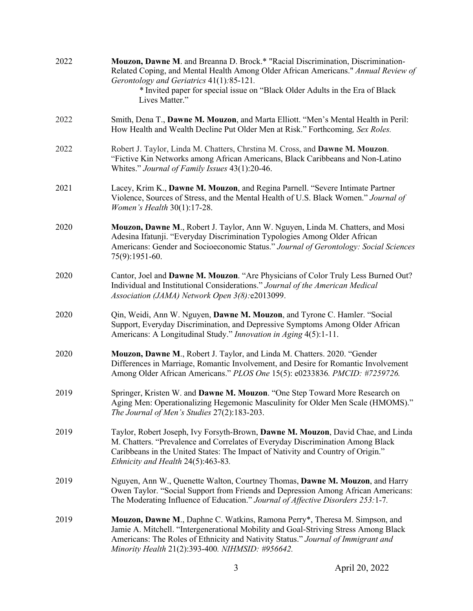| 2022 | Mouzon, Dawne M. and Breanna D. Brock.* "Racial Discrimination, Discrimination-<br>Related Coping, and Mental Health Among Older African Americans." Annual Review of<br>Gerontology and Geriatrics 41(1):85-121.<br>* Invited paper for special issue on "Black Older Adults in the Era of Black<br>Lives Matter." |
|------|---------------------------------------------------------------------------------------------------------------------------------------------------------------------------------------------------------------------------------------------------------------------------------------------------------------------|
| 2022 | Smith, Dena T., Dawne M. Mouzon, and Marta Elliott. "Men's Mental Health in Peril:<br>How Health and Wealth Decline Put Older Men at Risk." Forthcoming, Sex Roles.                                                                                                                                                 |
| 2022 | Robert J. Taylor, Linda M. Chatters, Chrstina M. Cross, and Dawne M. Mouzon.<br>"Fictive Kin Networks among African Americans, Black Caribbeans and Non-Latino<br>Whites." Journal of Family Issues 43(1):20-46.                                                                                                    |
| 2021 | Lacey, Krim K., Dawne M. Mouzon, and Regina Parnell. "Severe Intimate Partner<br>Violence, Sources of Stress, and the Mental Health of U.S. Black Women." Journal of<br>Women's Health 30(1):17-28.                                                                                                                 |
| 2020 | Mouzon, Dawne M., Robert J. Taylor, Ann W. Nguyen, Linda M. Chatters, and Mosi<br>Adesina Ifatunji. "Everyday Discrimination Typologies Among Older African<br>Americans: Gender and Socioeconomic Status." Journal of Gerontology: Social Sciences<br>75(9):1951-60.                                               |
| 2020 | Cantor, Joel and Dawne M. Mouzon. "Are Physicians of Color Truly Less Burned Out?<br>Individual and Institutional Considerations." Journal of the American Medical<br>Association (JAMA) Network Open 3(8): e2013099.                                                                                               |
| 2020 | Qin, Weidi, Ann W. Nguyen, Dawne M. Mouzon, and Tyrone C. Hamler. "Social<br>Support, Everyday Discrimination, and Depressive Symptoms Among Older African<br>Americans: A Longitudinal Study." Innovation in Aging 4(5):1-11.                                                                                      |
| 2020 | Mouzon, Dawne M., Robert J. Taylor, and Linda M. Chatters. 2020. "Gender<br>Differences in Marriage, Romantic Involvement, and Desire for Romantic Involvement<br>Among Older African Americans." PLOS One 15(5): e0233836. PMCID: #7259726.                                                                        |
| 2019 | Springer, Kristen W. and Dawne M. Mouzon. "One Step Toward More Research on<br>Aging Men: Operationalizing Hegemonic Masculinity for Older Men Scale (HMOMS)."<br>The Journal of Men's Studies 27(2):183-203.                                                                                                       |
| 2019 | Taylor, Robert Joseph, Ivy Forsyth-Brown, Dawne M. Mouzon, David Chae, and Linda<br>M. Chatters. "Prevalence and Correlates of Everyday Discrimination Among Black<br>Caribbeans in the United States: The Impact of Nativity and Country of Origin."<br>Ethnicity and Health 24(5):463-83.                         |
| 2019 | Nguyen, Ann W., Quenette Walton, Courtney Thomas, Dawne M. Mouzon, and Harry<br>Owen Taylor. "Social Support from Friends and Depression Among African Americans:<br>The Moderating Influence of Education." Journal of Affective Disorders 253:1-7.                                                                |
| 2019 | Mouzon, Dawne M., Daphne C. Watkins, Ramona Perry*, Theresa M. Simpson, and<br>Jamie A. Mitchell. "Intergenerational Mobility and Goal-Striving Stress Among Black<br>Americans: The Roles of Ethnicity and Nativity Status." Journal of Immigrant and<br>Minority Health 21(2):393-400. NIHMSID: #956642.          |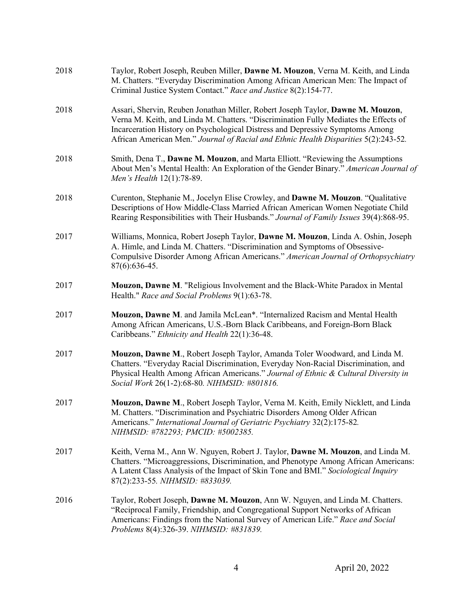| 2018 | Taylor, Robert Joseph, Reuben Miller, Dawne M. Mouzon, Verna M. Keith, and Linda<br>M. Chatters. "Everyday Discrimination Among African American Men: The Impact of<br>Criminal Justice System Contact." Race and Justice 8(2):154-77.                                                                                                          |
|------|-------------------------------------------------------------------------------------------------------------------------------------------------------------------------------------------------------------------------------------------------------------------------------------------------------------------------------------------------|
| 2018 | Assari, Shervin, Reuben Jonathan Miller, Robert Joseph Taylor, Dawne M. Mouzon,<br>Verna M. Keith, and Linda M. Chatters. "Discrimination Fully Mediates the Effects of<br>Incarceration History on Psychological Distress and Depressive Symptoms Among<br>African American Men." Journal of Racial and Ethnic Health Disparities 5(2):243-52. |
| 2018 | Smith, Dena T., Dawne M. Mouzon, and Marta Elliott. "Reviewing the Assumptions<br>About Men's Mental Health: An Exploration of the Gender Binary." American Journal of<br>Men's Health 12(1):78-89.                                                                                                                                             |
| 2018 | Curenton, Stephanie M., Jocelyn Elise Crowley, and Dawne M. Mouzon. "Qualitative<br>Descriptions of How Middle-Class Married African American Women Negotiate Child<br>Rearing Responsibilities with Their Husbands." Journal of Family Issues 39(4):868-95.                                                                                    |
| 2017 | Williams, Monnica, Robert Joseph Taylor, Dawne M. Mouzon, Linda A. Oshin, Joseph<br>A. Himle, and Linda M. Chatters. "Discrimination and Symptoms of Obsessive-<br>Compulsive Disorder Among African Americans." American Journal of Orthopsychiatry<br>87(6):636-45.                                                                           |
| 2017 | Mouzon, Dawne M. "Religious Involvement and the Black-White Paradox in Mental<br>Health." Race and Social Problems 9(1):63-78.                                                                                                                                                                                                                  |
| 2017 | Mouzon, Dawne M. and Jamila McLean*. "Internalized Racism and Mental Health<br>Among African Americans, U.S.-Born Black Caribbeans, and Foreign-Born Black<br>Caribbeans." Ethnicity and Health 22(1):36-48.                                                                                                                                    |
| 2017 | Mouzon, Dawne M., Robert Joseph Taylor, Amanda Toler Woodward, and Linda M.<br>Chatters. "Everyday Racial Discrimination, Everyday Non-Racial Discrimination, and<br>Physical Health Among African Americans." Journal of Ethnic & Cultural Diversity in<br>Social Work 26(1-2):68-80. NIHMSID: #801816.                                        |
| 2017 | Mouzon, Dawne M., Robert Joseph Taylor, Verna M. Keith, Emily Nicklett, and Linda<br>M. Chatters. "Discrimination and Psychiatric Disorders Among Older African<br>Americans." International Journal of Geriatric Psychiatry 32(2):175-82.<br>NIHMSID: #782293; PMCID: #5002385.                                                                |
| 2017 | Keith, Verna M., Ann W. Nguyen, Robert J. Taylor, Dawne M. Mouzon, and Linda M.<br>Chatters. "Microaggressions, Discrimination, and Phenotype Among African Americans:<br>A Latent Class Analysis of the Impact of Skin Tone and BMI." Sociological Inquiry<br>87(2):233-55. NIHMSID: #833039.                                                  |
| 2016 | Taylor, Robert Joseph, Dawne M. Mouzon, Ann W. Nguyen, and Linda M. Chatters.<br>"Reciprocal Family, Friendship, and Congregational Support Networks of African<br>Americans: Findings from the National Survey of American Life." Race and Social<br>Problems 8(4):326-39. NIHMSID: #831839.                                                   |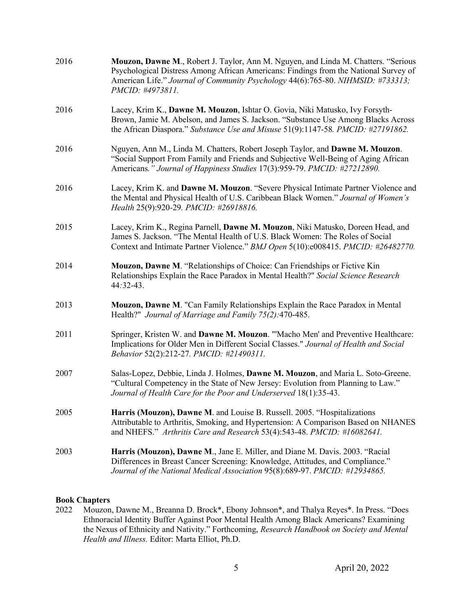| 2016 | Mouzon, Dawne M., Robert J. Taylor, Ann M. Nguyen, and Linda M. Chatters. "Serious<br>Psychological Distress Among African Americans: Findings from the National Survey of<br>American Life." Journal of Community Psychology 44(6):765-80. NIHMSID: #733313;<br>PMCID: #4973811. |
|------|-----------------------------------------------------------------------------------------------------------------------------------------------------------------------------------------------------------------------------------------------------------------------------------|
| 2016 | Lacey, Krim K., Dawne M. Mouzon, Ishtar O. Govia, Niki Matusko, Ivy Forsyth-<br>Brown, Jamie M. Abelson, and James S. Jackson. "Substance Use Among Blacks Across<br>the African Diaspora." Substance Use and Misuse 51(9):1147-58. PMCID: #27191862.                             |
| 2016 | Nguyen, Ann M., Linda M. Chatters, Robert Joseph Taylor, and Dawne M. Mouzon.<br>"Social Support From Family and Friends and Subjective Well-Being of Aging African<br>Americans." Journal of Happiness Studies 17(3):959-79. PMCID: #27212890.                                   |
| 2016 | Lacey, Krim K. and Dawne M. Mouzon. "Severe Physical Intimate Partner Violence and<br>the Mental and Physical Health of U.S. Caribbean Black Women." Journal of Women's<br>Health 25(9):920-29. PMCID: #26918816.                                                                 |
| 2015 | Lacey, Krim K., Regina Parnell, Dawne M. Mouzon, Niki Matusko, Doreen Head, and<br>James S. Jackson. "The Mental Health of U.S. Black Women: The Roles of Social<br>Context and Intimate Partner Violence." BMJ Open 5(10):e008415. PMCID: #26482770.                             |
| 2014 | Mouzon, Dawne M. "Relationships of Choice: Can Friendships or Fictive Kin<br>Relationships Explain the Race Paradox in Mental Health?" Social Science Research<br>44:32-43.                                                                                                       |
| 2013 | Mouzon, Dawne M. "Can Family Relationships Explain the Race Paradox in Mental<br>Health?" Journal of Marriage and Family 75(2):470-485.                                                                                                                                           |
| 2011 | Springer, Kristen W. and Dawne M. Mouzon. "'Macho Men' and Preventive Healthcare:<br>Implications for Older Men in Different Social Classes." Journal of Health and Social<br>Behavior 52(2):212-27. PMCID: #21490311.                                                            |
| 2007 | Salas-Lopez, Debbie, Linda J. Holmes, Dawne M. Mouzon, and Maria L. Soto-Greene.<br>"Cultural Competency in the State of New Jersey: Evolution from Planning to Law."<br>Journal of Health Care for the Poor and Underserved 18(1):35-43.                                         |
| 2005 | Harris (Mouzon), Dawne M. and Louise B. Russell. 2005. "Hospitalizations<br>Attributable to Arthritis, Smoking, and Hypertension: A Comparison Based on NHANES<br>and NHEFS." Arthritis Care and Research 53(4):543-48. PMCID: #16082641.                                         |
| 2003 | Harris (Mouzon), Dawne M., Jane E. Miller, and Diane M. Davis. 2003. "Racial<br>Differences in Breast Cancer Screening: Knowledge, Attitudes, and Compliance."<br>Journal of the National Medical Association 95(8):689-97. PMCID: #12934865.                                     |
|      |                                                                                                                                                                                                                                                                                   |

# **Book Chapters**<br>2022 Mouzon

Mouzon, Dawne M., Breanna D. Brock\*, Ebony Johnson\*, and Thalya Reyes\*. In Press. "Does Ethnoracial Identity Buffer Against Poor Mental Health Among Black Americans? Examining the Nexus of Ethnicity and Nativity." Forthcoming, *Research Handbook on Society and Mental Health and Illness.* Editor: Marta Elliot, Ph.D.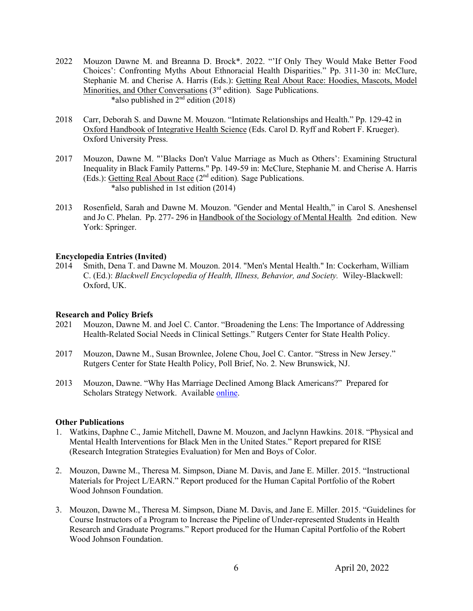- 2022 Mouzon Dawne M. and Breanna D. Brock\*. 2022. "'If Only They Would Make Better Food Choices': Confronting Myths About Ethnoracial Health Disparities." Pp. 311-30 in: McClure, Stephanie M. and Cherise A. Harris (Eds.): Getting Real About Race: Hoodies, Mascots, Model Minorities, and Other Conversations (3<sup>rd</sup> edition). Sage Publications. \*also published in  $2<sup>nd</sup>$  edition (2018)
- 2018 Carr, Deborah S. and Dawne M. Mouzon. "Intimate Relationships and Health." Pp. 129-42 in Oxford Handbook of Integrative Health Science (Eds. Carol D. Ryff and Robert F. Krueger). Oxford University Press.
- 2017 Mouzon, Dawne M. "'Blacks Don't Value Marriage as Much as Others': Examining Structural Inequality in Black Family Patterns." Pp. 149-59 in: McClure, Stephanie M. and Cherise A. Harris (Eds.): Getting Real About Race (2nd edition)*.* Sage Publications. \*also published in 1st edition (2014)
- 2013 Rosenfield, Sarah and Dawne M. Mouzon. "Gender and Mental Health," in Carol S. Aneshensel and Jo C. Phelan. Pp. 277- 296 in Handbook of the Sociology of Mental Health*.* 2nd edition. New York: Springer.

#### **Encyclopedia Entries (Invited)**

2014 Smith, Dena T. and Dawne M. Mouzon. 2014. "Men's Mental Health." In: Cockerham, William C. (Ed.): *Blackwell Encyclopedia of Health, Illness, Behavior, and Society.* Wiley-Blackwell: Oxford, UK.

# **Research and Policy Briefs**

- 2021 Mouzon, Dawne M. and Joel C. Cantor. "Broadening the Lens: The Importance of Addressing Health-Related Social Needs in Clinical Settings." Rutgers Center for State Health Policy.
- 2017 Mouzon, Dawne M., Susan Brownlee, Jolene Chou, Joel C. Cantor. "Stress in New Jersey." Rutgers Center for State Health Policy, Poll Brief, No. 2. New Brunswick, NJ.
- 2013 Mouzon, Dawne. "Why Has Marriage Declined Among Black Americans?" Prepared for Scholars Strategy Network. Available online.

#### **Other Publications**

- 1. Watkins, Daphne C., Jamie Mitchell, Dawne M. Mouzon, and Jaclynn Hawkins. 2018. "Physical and Mental Health Interventions for Black Men in the United States." Report prepared for RISE (Research Integration Strategies Evaluation) for Men and Boys of Color.
- 2. Mouzon, Dawne M., Theresa M. Simpson, Diane M. Davis, and Jane E. Miller. 2015. "Instructional Materials for Project L/EARN." Report produced for the Human Capital Portfolio of the Robert Wood Johnson Foundation.
- 3. Mouzon, Dawne M., Theresa M. Simpson, Diane M. Davis, and Jane E. Miller. 2015. "Guidelines for Course Instructors of a Program to Increase the Pipeline of Under-represented Students in Health Research and Graduate Programs." Report produced for the Human Capital Portfolio of the Robert Wood Johnson Foundation.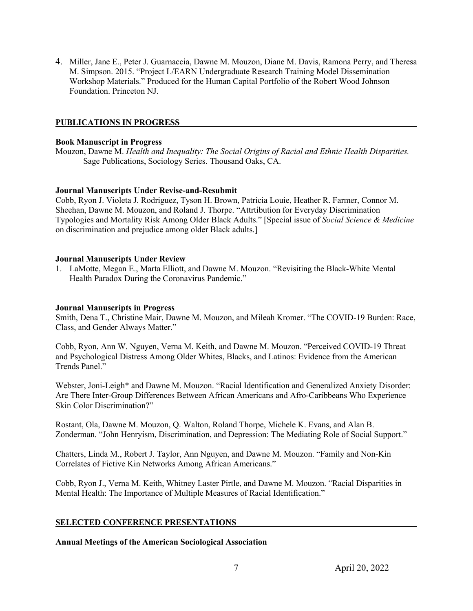4. Miller, Jane E., Peter J. Guarnaccia, Dawne M. Mouzon, Diane M. Davis, Ramona Perry, and Theresa M. Simpson. 2015. "Project L/EARN Undergraduate Research Training Model Dissemination Workshop Materials." Produced for the Human Capital Portfolio of the Robert Wood Johnson Foundation. Princeton NJ.

# **PUBLICATIONS IN PROGRESS**

#### **Book Manuscript in Progress**

Mouzon, Dawne M. *Health and Inequality: The Social Origins of Racial and Ethnic Health Disparities.* Sage Publications, Sociology Series. Thousand Oaks, CA.

# **Journal Manuscripts Under Revise-and-Resubmit**

Cobb, Ryon J. Violeta J. Rodriguez, Tyson H. Brown, Patricia Louie, Heather R. Farmer, Connor M. Sheehan, Dawne M. Mouzon, and Roland J. Thorpe. "Attrtibution for Everyday Discrimination Typologies and Mortality Risk Among Older Black Adults." [Special issue of *Social Science & Medicine*  on discrimination and prejudice among older Black adults.]

#### **Journal Manuscripts Under Review**

1. LaMotte, Megan E., Marta Elliott, and Dawne M. Mouzon. "Revisiting the Black-White Mental Health Paradox During the Coronavirus Pandemic."

#### **Journal Manuscripts in Progress**

Smith, Dena T., Christine Mair, Dawne M. Mouzon, and Mileah Kromer. "The COVID-19 Burden: Race, Class, and Gender Always Matter."

Cobb, Ryon, Ann W. Nguyen, Verna M. Keith, and Dawne M. Mouzon. "Perceived COVID-19 Threat and Psychological Distress Among Older Whites, Blacks, and Latinos: Evidence from the American Trends Panel."

Webster, Joni-Leigh\* and Dawne M. Mouzon. "Racial Identification and Generalized Anxiety Disorder: Are There Inter-Group Differences Between African Americans and Afro-Caribbeans Who Experience Skin Color Discrimination?"

Rostant, Ola, Dawne M. Mouzon, Q. Walton, Roland Thorpe, Michele K. Evans, and Alan B. Zonderman. "John Henryism, Discrimination, and Depression: The Mediating Role of Social Support."

Chatters, Linda M., Robert J. Taylor, Ann Nguyen, and Dawne M. Mouzon. "Family and Non-Kin Correlates of Fictive Kin Networks Among African Americans."

Cobb, Ryon J., Verna M. Keith, Whitney Laster Pirtle, and Dawne M. Mouzon. "Racial Disparities in Mental Health: The Importance of Multiple Measures of Racial Identification."

#### **SELECTED CONFERENCE PRESENTATIONS**

**Annual Meetings of the American Sociological Association**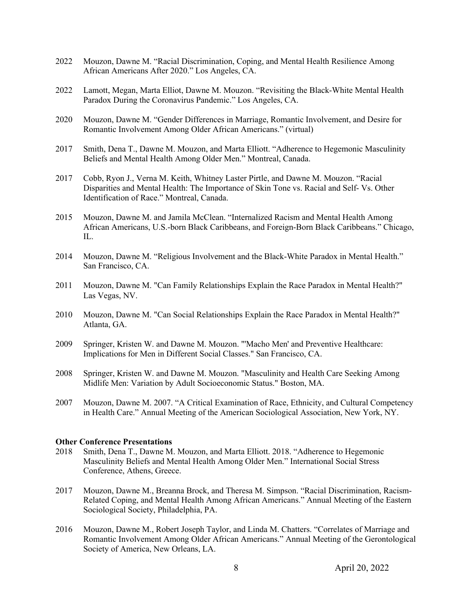- 2022 Mouzon, Dawne M. "Racial Discrimination, Coping, and Mental Health Resilience Among African Americans After 2020." Los Angeles, CA.
- 2022 Lamott, Megan, Marta Elliot, Dawne M. Mouzon. "Revisiting the Black-White Mental Health Paradox During the Coronavirus Pandemic." Los Angeles, CA.
- 2020 Mouzon, Dawne M. "Gender Differences in Marriage, Romantic Involvement, and Desire for Romantic Involvement Among Older African Americans." (virtual)
- 2017 Smith, Dena T., Dawne M. Mouzon, and Marta Elliott. "Adherence to Hegemonic Masculinity Beliefs and Mental Health Among Older Men." Montreal, Canada.
- 2017 Cobb, Ryon J., Verna M. Keith, Whitney Laster Pirtle, and Dawne M. Mouzon. "Racial Disparities and Mental Health: The Importance of Skin Tone vs. Racial and Self- Vs. Other Identification of Race." Montreal, Canada.
- 2015 Mouzon, Dawne M. and Jamila McClean. "Internalized Racism and Mental Health Among African Americans, U.S.-born Black Caribbeans, and Foreign-Born Black Caribbeans." Chicago,  $\Pi$ .
- 2014 Mouzon, Dawne M. "Religious Involvement and the Black-White Paradox in Mental Health." San Francisco, CA.
- 2011 Mouzon, Dawne M. "Can Family Relationships Explain the Race Paradox in Mental Health?" Las Vegas, NV.
- 2010 Mouzon, Dawne M. "Can Social Relationships Explain the Race Paradox in Mental Health?" Atlanta, GA.
- 2009 Springer, Kristen W. and Dawne M. Mouzon. "'Macho Men' and Preventive Healthcare: Implications for Men in Different Social Classes." San Francisco, CA.
- 2008 Springer, Kristen W. and Dawne M. Mouzon. "Masculinity and Health Care Seeking Among Midlife Men: Variation by Adult Socioeconomic Status." Boston, MA.
- 2007 Mouzon, Dawne M. 2007. "A Critical Examination of Race, Ethnicity, and Cultural Competency in Health Care." Annual Meeting of the American Sociological Association, New York, NY.

#### **Other Conference Presentations**

- 2018 Smith, Dena T., Dawne M. Mouzon, and Marta Elliott. 2018. "Adherence to Hegemonic Masculinity Beliefs and Mental Health Among Older Men." International Social Stress Conference, Athens, Greece.
- 2017 Mouzon, Dawne M., Breanna Brock, and Theresa M. Simpson. "Racial Discrimination, Racism-Related Coping, and Mental Health Among African Americans." Annual Meeting of the Eastern Sociological Society, Philadelphia, PA.
- 2016 Mouzon, Dawne M., Robert Joseph Taylor, and Linda M. Chatters. "Correlates of Marriage and Romantic Involvement Among Older African Americans." Annual Meeting of the Gerontological Society of America, New Orleans, LA.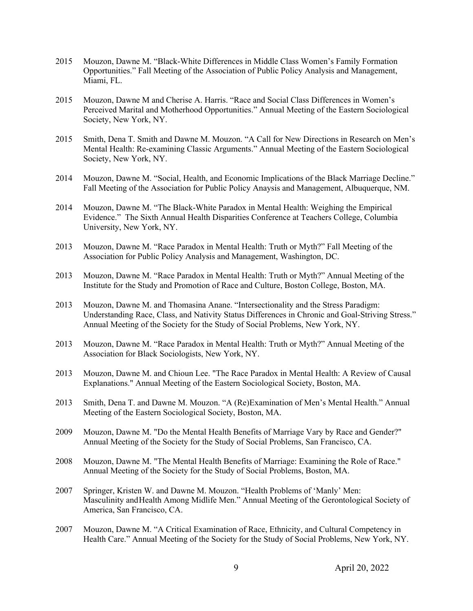- 2015 Mouzon, Dawne M. "Black-White Differences in Middle Class Women's Family Formation Opportunities." Fall Meeting of the Association of Public Policy Analysis and Management, Miami, FL.
- 2015 Mouzon, Dawne M and Cherise A. Harris. "Race and Social Class Differences in Women's Perceived Marital and Motherhood Opportunities." Annual Meeting of the Eastern Sociological Society, New York, NY.
- 2015 Smith, Dena T. Smith and Dawne M. Mouzon. "A Call for New Directions in Research on Men's Mental Health: Re-examining Classic Arguments." Annual Meeting of the Eastern Sociological Society, New York, NY.
- 2014 Mouzon, Dawne M. "Social, Health, and Economic Implications of the Black Marriage Decline." Fall Meeting of the Association for Public Policy Anaysis and Management, Albuquerque, NM.
- 2014 Mouzon, Dawne M. "The Black-White Paradox in Mental Health: Weighing the Empirical Evidence." The Sixth Annual Health Disparities Conference at Teachers College, Columbia University, New York, NY.
- 2013 Mouzon, Dawne M. "Race Paradox in Mental Health: Truth or Myth?" Fall Meeting of the Association for Public Policy Analysis and Management, Washington, DC.
- 2013 Mouzon, Dawne M. "Race Paradox in Mental Health: Truth or Myth?" Annual Meeting of the Institute for the Study and Promotion of Race and Culture, Boston College, Boston, MA.
- 2013 Mouzon, Dawne M. and Thomasina Anane. "Intersectionality and the Stress Paradigm: Understanding Race, Class, and Nativity Status Differences in Chronic and Goal-Striving Stress." Annual Meeting of the Society for the Study of Social Problems, New York, NY.
- 2013 Mouzon, Dawne M. "Race Paradox in Mental Health: Truth or Myth?" Annual Meeting of the Association for Black Sociologists, New York, NY.
- 2013 Mouzon, Dawne M. and Chioun Lee. "The Race Paradox in Mental Health: A Review of Causal Explanations." Annual Meeting of the Eastern Sociological Society, Boston, MA.
- 2013 Smith, Dena T. and Dawne M. Mouzon. "A (Re)Examination of Men's Mental Health." Annual Meeting of the Eastern Sociological Society, Boston, MA.
- 2009 Mouzon, Dawne M. "Do the Mental Health Benefits of Marriage Vary by Race and Gender?" Annual Meeting of the Society for the Study of Social Problems, San Francisco, CA.
- 2008 Mouzon, Dawne M. "The Mental Health Benefits of Marriage: Examining the Role of Race." Annual Meeting of the Society for the Study of Social Problems, Boston, MA.
- 2007 Springer, Kristen W. and Dawne M. Mouzon. "Health Problems of 'Manly' Men: Masculinity andHealth Among Midlife Men." Annual Meeting of the Gerontological Society of America, San Francisco, CA.
- 2007 Mouzon, Dawne M. "A Critical Examination of Race, Ethnicity, and Cultural Competency in Health Care." Annual Meeting of the Society for the Study of Social Problems, New York, NY.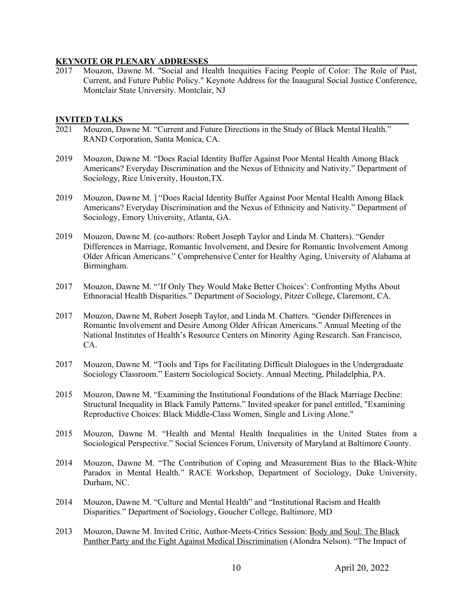#### **KEYNOTE OR PLENARY ADDRESSES**

2017 Mouzon, Dawne M. "Social and Health Inequities Facing People of Color: The Role of Past, Current, and Future Public Policy." Keynote Address for the Inaugural Social Justice Conference, Montclair State University. Montclair, NJ

#### **INVITED TALKS**

- 2021 Mouzon, Dawne M. "Current and Future Directions in the Study of Black Mental Health." RAND Corporation, Santa Monica, CA.
- 2019 Mouzon, Dawne M. "Does Racial Identity Buffer Against Poor Mental Health Among Black Americans? Everyday Discrimination and the Nexus of Ethnicity and Nativity." Department of Sociology, Rice University, Houston,TX.
- 2019 Mouzon, Dawne M. ] "Does Racial Identity Buffer Against Poor Mental Health Among Black Americans? Everyday Discrimination and the Nexus of Ethnicity and Nativity." Department of Sociology, Emory University, Atlanta, GA.
- 2019 Mouzon, Dawne M. (co-authors: Robert Joseph Taylor and Linda M. Chatters). "Gender Differences in Marriage, Romantic Involvement, and Desire for Romantic Involvement Among Older African Americans." Comprehensive Center for Healthy Aging, University of Alabama at Birmingham.
- 2017 Mouzon, Dawne M. "'If Only They Would Make Better Choices': Confronting Myths About Ethnoracial Health Disparities." Department of Sociology, Pitzer College, Claremont, CA.
- 2017 Mouzon, Dawne M, Robert Joseph Taylor, and Linda M. Chatters. "Gender Differences in Romantic Involvement and Desire Among Older African Americans." Annual Meeting of the National Institutes of Health's Resource Centers on Minority Aging Research. San Francisco, CA.
- 2017 Mouzon, Dawne M. "Tools and Tips for Facilitating Difficult Dialogues in the Undergraduate Sociology Classroom." Eastern Sociological Society. Annual Meeting, Philadelphia, PA.
- 2015 Mouzon, Dawne M. "Examining the Institutional Foundations of the Black Marriage Decline: Structural Inequality in Black Family Patterns." Invited speaker for panel entitled, "Examining Reproductive Choices: Black Middle-Class Women, Single and Living Alone."
- 2015 Mouzon, Dawne M. "Health and Mental Health Inequalities in the United States from a Sociological Perspective." Social Sciences Forum, University of Maryland at Baltimore County.
- 2014 Mouzon, Dawne M. "The Contribution of Coping and Measurement Bias to the Black-White Paradox in Mental Health." RACE Workshop, Department of Sociology, Duke University, Durham, NC.
- 2014 Mouzon, Dawne M. "Culture and Mental Health" and "Institutional Racism and Health Disparities." Department of Sociology, Goucher College, Baltimore, MD
- 2013 Mouzon, Dawne M. Invited Critic, Author-Meets-Critics Session: Body and Soul: The Black Panther Party and the Fight Against Medical Discrimination (Alondra Nelson). "The Impact of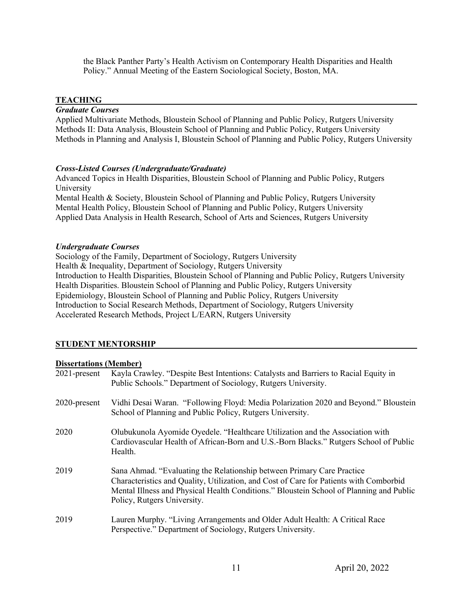the Black Panther Party's Health Activism on Contemporary Health Disparities and Health Policy." Annual Meeting of the Eastern Sociological Society, Boston, MA.

#### **TEACHING**

# *Graduate Courses*

Applied Multivariate Methods, Bloustein School of Planning and Public Policy, Rutgers University Methods II: Data Analysis, Bloustein School of Planning and Public Policy, Rutgers University Methods in Planning and Analysis I, Bloustein School of Planning and Public Policy, Rutgers University

#### *Cross-Listed Courses (Undergraduate/Graduate)*

Advanced Topics in Health Disparities, Bloustein School of Planning and Public Policy, Rutgers University

Mental Health & Society, Bloustein School of Planning and Public Policy, Rutgers University Mental Health Policy, Bloustein School of Planning and Public Policy, Rutgers University Applied Data Analysis in Health Research, School of Arts and Sciences, Rutgers University

#### *Undergraduate Courses*

Sociology of the Family, Department of Sociology, Rutgers University Health & Inequality, Department of Sociology, Rutgers University Introduction to Health Disparities, Bloustein School of Planning and Public Policy, Rutgers University Health Disparities. Bloustein School of Planning and Public Policy, Rutgers University Epidemiology, Bloustein School of Planning and Public Policy, Rutgers University Introduction to Social Research Methods, Department of Sociology, Rutgers University Accelerated Research Methods, Project L/EARN, Rutgers University

# **STUDENT MENTORSHIP**

#### **Dissertations (Member)**

| $2021$ -present | Kayla Crawley. "Despite Best Intentions: Catalysts and Barriers to Racial Equity in<br>Public Schools." Department of Sociology, Rutgers University.                                                                                                                                       |
|-----------------|--------------------------------------------------------------------------------------------------------------------------------------------------------------------------------------------------------------------------------------------------------------------------------------------|
| 2020-present    | Vidhi Desai Waran. "Following Floyd: Media Polarization 2020 and Beyond." Bloustein<br>School of Planning and Public Policy, Rutgers University.                                                                                                                                           |
| 2020            | Olubukunola Ayomide Oyedele. "Healthcare Utilization and the Association with<br>Cardiovascular Health of African-Born and U.S.-Born Blacks." Rutgers School of Public<br>Health.                                                                                                          |
| 2019            | Sana Ahmad. "Evaluating the Relationship between Primary Care Practice<br>Characteristics and Quality, Utilization, and Cost of Care for Patients with Comborbid<br>Mental Illness and Physical Health Conditions." Bloustein School of Planning and Public<br>Policy, Rutgers University. |
| 2019            | Lauren Murphy. "Living Arrangements and Older Adult Health: A Critical Race<br>Perspective." Department of Sociology, Rutgers University.                                                                                                                                                  |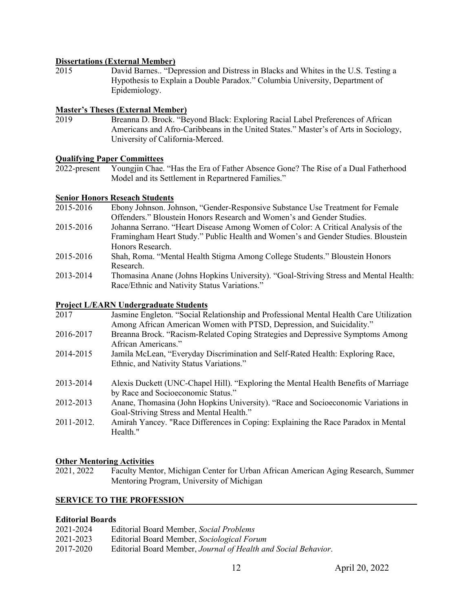# **Dissertations (External Member)**

2015 David Barnes.. "Depression and Distress in Blacks and Whites in the U.S. Testing a Hypothesis to Explain a Double Paradox." Columbia University, Department of Epidemiology.

# **Master's Theses (External Member)**

2019 Breanna D. Brock. "Beyond Black: Exploring Racial Label Preferences of African Americans and Afro-Caribbeans in the United States." Master's of Arts in Sociology, University of California-Merced.

# **Qualifying Paper Committees**

2022-present Youngjin Chae. "Has the Era of Father Absence Gone? The Rise of a Dual Fatherhood Model and its Settlement in Repartnered Families."

#### **Senior Honors Reseach Students**

- 2015-2016 Ebony Johnson. Johnson, "Gender-Responsive Substance Use Treatment for Female Offenders." Bloustein Honors Research and Women's and Gender Studies.
- 2015-2016 Johanna Serrano. "Heart Disease Among Women of Color: A Critical Analysis of the Framingham Heart Study." Public Health and Women's and Gender Studies. Bloustein Honors Research.
- 2015-2016 Shah, Roma. "Mental Health Stigma Among College Students." Bloustein Honors Research.
- 2013-2014 Thomasina Anane (Johns Hopkins University). "Goal-Striving Stress and Mental Health: Race/Ethnic and Nativity Status Variations."

#### **Project L/EARN Undergraduate Students**

| 2017       | Jasmine Engleton. "Social Relationship and Professional Mental Health Care Utilization                                        |
|------------|-------------------------------------------------------------------------------------------------------------------------------|
|            | Among African American Women with PTSD, Depression, and Suicidality."                                                         |
| 2016-2017  | Breanna Brock. "Racism-Related Coping Strategies and Depressive Symptoms Among                                                |
|            | African Americans."                                                                                                           |
| 2014-2015  | Jamila McLean, "Everyday Discrimination and Self-Rated Health: Exploring Race,                                                |
|            | Ethnic, and Nativity Status Variations."                                                                                      |
| 2013-2014  | Alexis Duckett (UNC-Chapel Hill). "Exploring the Mental Health Benefits of Marriage                                           |
|            | by Race and Socioeconomic Status."                                                                                            |
| 2012-2013  | Anane, Thomasina (John Hopkins University). "Race and Socioeconomic Variations in<br>Goal-Striving Stress and Mental Health." |
| 2011-2012. | Amirah Yancey. "Race Differences in Coping: Explaining the Race Paradox in Mental<br>Health."                                 |
|            |                                                                                                                               |

#### **Other Mentoring Activities**

2021, 2022 Faculty Mentor, Michigan Center for Urban African American Aging Research, Summer Mentoring Program, University of Michigan

# **SERVICE TO THE PROFESSION**

# **Editorial Boards**

| 2021-2024 | Editorial Board Member, Social Problems                        |
|-----------|----------------------------------------------------------------|
| 2021-2023 | Editorial Board Member, Sociological Forum                     |
| 2017-2020 | Editorial Board Member, Journal of Health and Social Behavior. |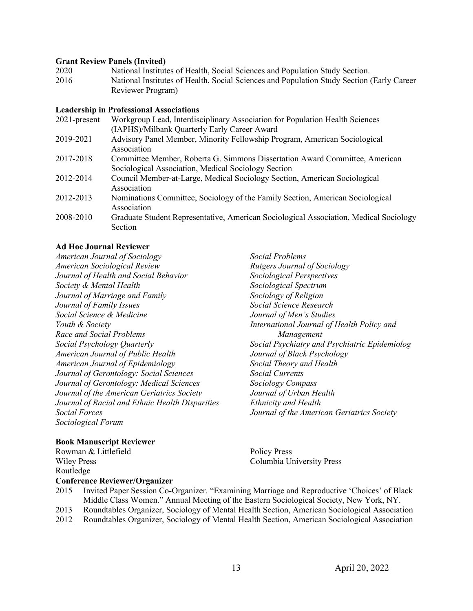#### **Grant Review Panels (Invited)**

2020 National Institutes of Health, Social Sciences and Population Study Section. 2016 National Institutes of Health, Social Sciences and Population Study Section (Early Career Reviewer Program)

#### **Leadership in Professional Associations**

| $2021$ -present | Workgroup Lead, Interdisciplinary Association for Population Health Sciences                                                       |
|-----------------|------------------------------------------------------------------------------------------------------------------------------------|
|                 | (IAPHS)/Milbank Quarterly Early Career Award                                                                                       |
| 2019-2021       | Advisory Panel Member, Minority Fellowship Program, American Sociological<br>Association                                           |
| 2017-2018       | Committee Member, Roberta G. Simmons Dissertation Award Committee, American<br>Sociological Association, Medical Sociology Section |
| 2012-2014       | Council Member-at-Large, Medical Sociology Section, American Sociological<br>Association                                           |
| 2012-2013       | Nominations Committee, Sociology of the Family Section, American Sociological<br>Association                                       |
| 2008-2010       | Graduate Student Representative, American Sociological Association, Medical Sociology<br>Section                                   |

# **Ad Hoc Journal Reviewer**

*American Journal of Sociology American Sociological Review Journal of Health and Social Behavior Society & Mental Health Journal of Marriage and Family Journal of Family Issues Social Science & Medicine Youth & Society Race and Social Problems Social Psychology Quarterly American Journal of Public Health American Journal of Epidemiology Journal of Gerontology: Social Sciences Journal of Gerontology: Medical Sciences Journal of the American Geriatrics Society Journal of Racial and Ethnic Health Disparities Social Forces Sociological Forum*

# *Social Problems Rutgers Journal of Sociology Sociological Perspectives Sociological Spectrum Sociology of Religion Social Science Research Journal of Men's Studies International Journal of Health Policy and Management Social Psychiatry and Psychiatric Epidemiolog Journal of Black Psychology Social Theory and Health Social Currents Sociology Compass Journal of Urban Health Ethnicity and Health Journal of the American Geriatrics Society*

# **Book Manuscript Reviewer**

| Rowman & Littlefield                 | <b>Policy Press</b>       |
|--------------------------------------|---------------------------|
| <b>Wiley Press</b>                   | Columbia University Press |
| Routledge                            |                           |
| <b>Conference Reviewer/Organizer</b> |                           |

- 2015 Invited Paper Session Co-Organizer. "Examining Marriage and Reproductive 'Choices' of Black Middle Class Women." Annual Meeting of the Eastern Sociological Society, New York, NY. 2013 Roundtables Organizer, Sociology of Mental Health Section, American Sociological Association
- 2012 Roundtables Organizer, Sociology of Mental Health Section, American Sociological Association
	- 13 April 20, 2022